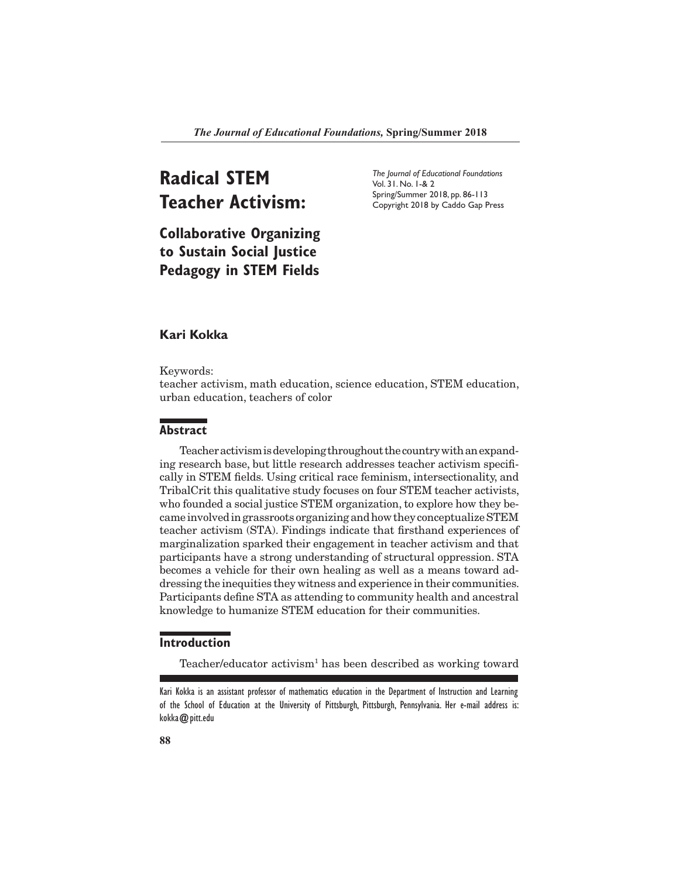# **Radical STEM Teacher Activism:**

*The Journal of Educational Foundations* Vol. 31. No. 1-& 2 Spring/Summer 2018, pp. 86-113 Copyright 2018 by Caddo Gap Press

**Collaborative Organizing to Sustain Social Justice Pedagogy in STEM Fields**

# **Kari Kokka**

Keywords:

teacher activism, math education, science education, STEM education, urban education, teachers of color

# **Abstract**

Teacher activism is developing throughout the country with an expanding research base, but little research addresses teacher activism specifically in STEM fields. Using critical race feminism, intersectionality, and TribalCrit this qualitative study focuses on four STEM teacher activists, who founded a social justice STEM organization, to explore how they became involved in grassroots organizing and how they conceptualize STEM teacher activism (STA). Findings indicate that firsthand experiences of marginalization sparked their engagement in teacher activism and that participants have a strong understanding of structural oppression. STA becomes a vehicle for their own healing as well as a means toward addressing the inequities they witness and experience in their communities. Participants define STA as attending to community health and ancestral knowledge to humanize STEM education for their communities.

# **Introduction**

Teacher/educator activism<sup>1</sup> has been described as working toward

Kari Kokka is an assistant professor of mathematics education in the Department of Instruction and Learning of the School of Education at the University of Pittsburgh, Pittsburgh, Pennsylvania. Her e-mail address is: kokka@pitt.edu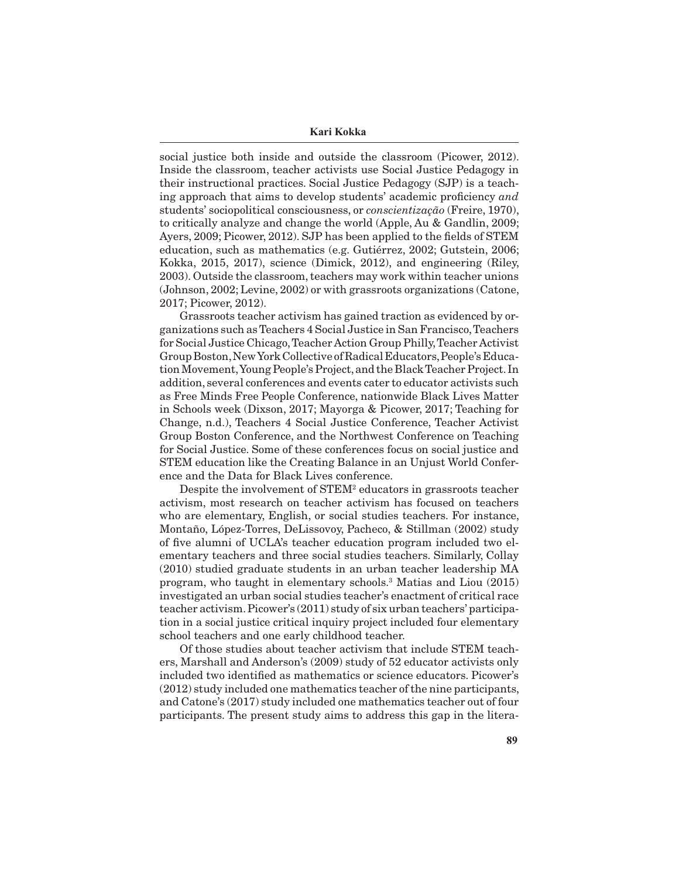**Kari Kokka**

social justice both inside and outside the classroom (Picower, 2012). Inside the classroom, teacher activists use Social Justice Pedagogy in their instructional practices. Social Justice Pedagogy (SJP) is a teaching approach that aims to develop students' academic proficiency *and*  students' sociopolitical consciousness, or *conscientização* (Freire, 1970), to critically analyze and change the world (Apple, Au & Gandlin, 2009; Ayers, 2009; Picower, 2012). SJP has been applied to the fields of STEM education, such as mathematics (e.g. Gutiérrez, 2002; Gutstein, 2006; Kokka, 2015, 2017), science (Dimick, 2012), and engineering (Riley, 2003). Outside the classroom, teachers may work within teacher unions (Johnson, 2002; Levine, 2002) or with grassroots organizations (Catone, 2017; Picower, 2012).

Grassroots teacher activism has gained traction as evidenced by organizations such as Teachers 4 Social Justice in San Francisco, Teachers for Social Justice Chicago, Teacher Action Group Philly, Teacher Activist Group Boston, New York Collective of Radical Educators, People's Education Movement, Young People's Project, and the Black Teacher Project. In addition, several conferences and events cater to educator activists such as Free Minds Free People Conference, nationwide Black Lives Matter in Schools week (Dixson, 2017; Mayorga & Picower, 2017; Teaching for Change, n.d.), Teachers 4 Social Justice Conference, Teacher Activist Group Boston Conference, and the Northwest Conference on Teaching for Social Justice. Some of these conferences focus on social justice and STEM education like the Creating Balance in an Unjust World Conference and the Data for Black Lives conference.

Despite the involvement of STEM2 educators in grassroots teacher activism, most research on teacher activism has focused on teachers who are elementary, English, or social studies teachers. For instance, Montaño, López-Torres, DeLissovoy, Pacheco, & Stillman (2002) study of five alumni of UCLA's teacher education program included two elementary teachers and three social studies teachers. Similarly, Collay (2010) studied graduate students in an urban teacher leadership MA program, who taught in elementary schools.3 Matias and Liou (2015) investigated an urban social studies teacher's enactment of critical race teacher activism. Picower's (2011) study of six urban teachers' participation in a social justice critical inquiry project included four elementary school teachers and one early childhood teacher.

Of those studies about teacher activism that include STEM teachers, Marshall and Anderson's (2009) study of 52 educator activists only included two identified as mathematics or science educators. Picower's (2012) study included one mathematics teacher of the nine participants, and Catone's (2017) study included one mathematics teacher out of four participants. The present study aims to address this gap in the litera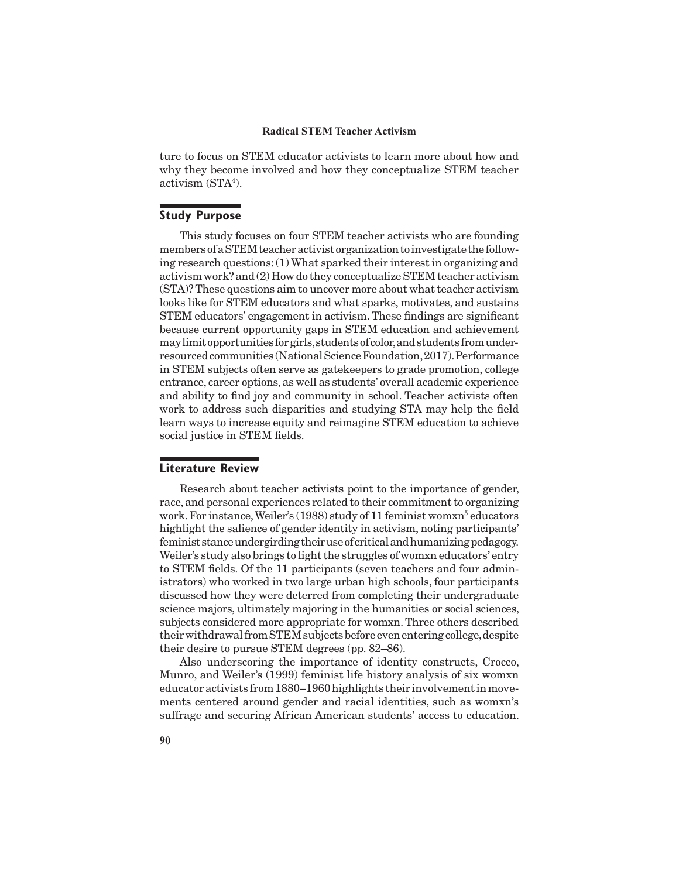ture to focus on STEM educator activists to learn more about how and why they become involved and how they conceptualize STEM teacher activism (STA<sup>4</sup>).

# **Study Purpose**

This study focuses on four STEM teacher activists who are founding members of a STEM teacher activist organization to investigate the following research questions: (1) What sparked their interest in organizing and activism work? and (2) How do they conceptualize STEM teacher activism (STA)? These questions aim to uncover more about what teacher activism looks like for STEM educators and what sparks, motivates, and sustains STEM educators' engagement in activism. These findings are significant because current opportunity gaps in STEM education and achievement may limit opportunities for girls, students of color, and students from underresourced communities (National Science Foundation, 2017). Performance in STEM subjects often serve as gatekeepers to grade promotion, college entrance, career options, as well as students' overall academic experience and ability to find joy and community in school. Teacher activists often work to address such disparities and studying STA may help the field learn ways to increase equity and reimagine STEM education to achieve social justice in STEM fields.

# **Literature Review**

Research about teacher activists point to the importance of gender, race, and personal experiences related to their commitment to organizing work. For instance, Weiler's (1988) study of 11 feminist womxn<sup>5</sup> educators highlight the salience of gender identity in activism, noting participants' feminist stance undergirding their use of critical and humanizing pedagogy. Weiler's study also brings to light the struggles of womxn educators' entry to STEM fields. Of the 11 participants (seven teachers and four administrators) who worked in two large urban high schools, four participants discussed how they were deterred from completing their undergraduate science majors, ultimately majoring in the humanities or social sciences, subjects considered more appropriate for womxn. Three others described their withdrawal from STEM subjects before even entering college, despite their desire to pursue STEM degrees (pp. 82–86).

Also underscoring the importance of identity constructs, Crocco, Munro, and Weiler's (1999) feminist life history analysis of six womxn educator activists from 1880–1960 highlights their involvement in movements centered around gender and racial identities, such as womxn's suffrage and securing African American students' access to education.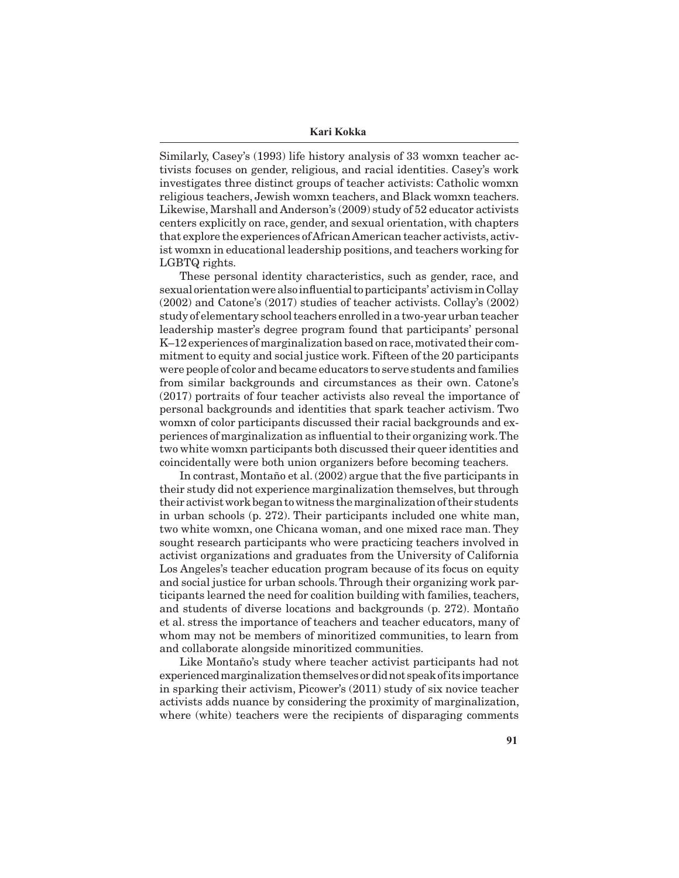Similarly, Casey's (1993) life history analysis of 33 womxn teacher activists focuses on gender, religious, and racial identities. Casey's work investigates three distinct groups of teacher activists: Catholic womxn religious teachers, Jewish womxn teachers, and Black womxn teachers. Likewise, Marshall and Anderson's (2009) study of 52 educator activists centers explicitly on race, gender, and sexual orientation, with chapters that explore the experiences of African American teacher activists, activist womxn in educational leadership positions, and teachers working for LGBTQ rights.

These personal identity characteristics, such as gender, race, and sexual orientation were also influential to participants' activism in Collay (2002) and Catone's (2017) studies of teacher activists. Collay's (2002) study of elementary school teachers enrolled in a two-year urban teacher leadership master's degree program found that participants' personal K–12 experiences of marginalization based on race, motivated their commitment to equity and social justice work. Fifteen of the 20 participants were people of color and became educators to serve students and families from similar backgrounds and circumstances as their own. Catone's (2017) portraits of four teacher activists also reveal the importance of personal backgrounds and identities that spark teacher activism. Two womxn of color participants discussed their racial backgrounds and experiences of marginalization as influential to their organizing work. The two white womxn participants both discussed their queer identities and coincidentally were both union organizers before becoming teachers.

In contrast, Montaño et al. (2002) argue that the five participants in their study did not experience marginalization themselves, but through their activist work began to witness the marginalization of their students in urban schools (p. 272). Their participants included one white man, two white womxn, one Chicana woman, and one mixed race man. They sought research participants who were practicing teachers involved in activist organizations and graduates from the University of California Los Angeles's teacher education program because of its focus on equity and social justice for urban schools. Through their organizing work participants learned the need for coalition building with families, teachers, and students of diverse locations and backgrounds (p. 272). Montaño et al. stress the importance of teachers and teacher educators, many of whom may not be members of minoritized communities, to learn from and collaborate alongside minoritized communities.

Like Montaño's study where teacher activist participants had not experienced marginalization themselves or did not speak of its importance in sparking their activism, Picower's (2011) study of six novice teacher activists adds nuance by considering the proximity of marginalization, where (white) teachers were the recipients of disparaging comments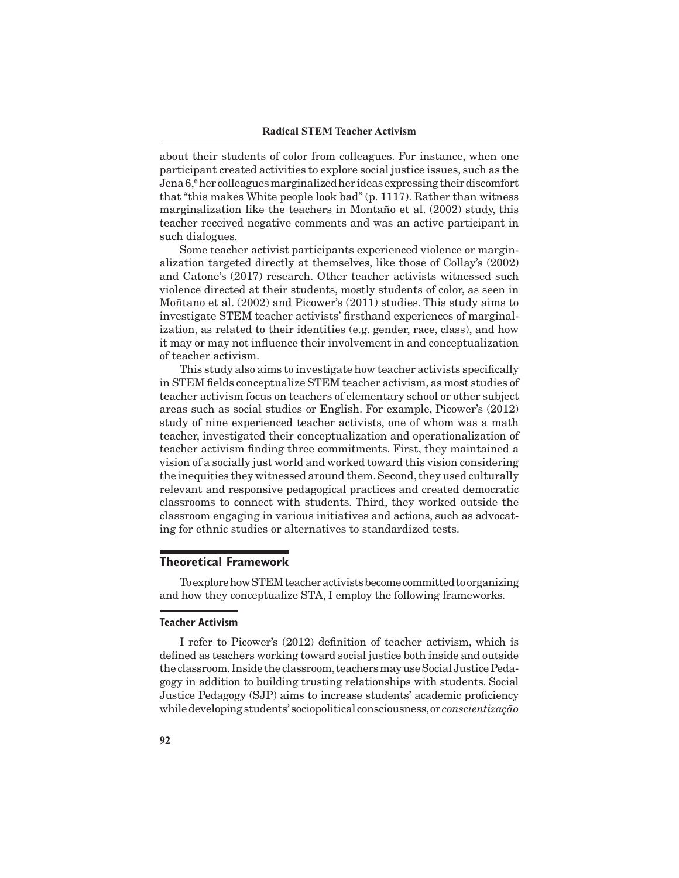about their students of color from colleagues. For instance, when one participant created activities to explore social justice issues, such as the Jena 6,<sup>6</sup> her colleagues marginalized her ideas expressing their discomfort that "this makes White people look bad" (p. 1117). Rather than witness marginalization like the teachers in Montaño et al. (2002) study, this teacher received negative comments and was an active participant in such dialogues.

Some teacher activist participants experienced violence or marginalization targeted directly at themselves, like those of Collay's (2002) and Catone's (2017) research. Other teacher activists witnessed such violence directed at their students, mostly students of color, as seen in Moñtano et al. (2002) and Picower's (2011) studies. This study aims to investigate STEM teacher activists' firsthand experiences of marginalization, as related to their identities (e.g. gender, race, class), and how it may or may not influence their involvement in and conceptualization of teacher activism.

This study also aims to investigate how teacher activists specifically in STEM fields conceptualize STEM teacher activism, as most studies of teacher activism focus on teachers of elementary school or other subject areas such as social studies or English. For example, Picower's (2012) study of nine experienced teacher activists, one of whom was a math teacher, investigated their conceptualization and operationalization of teacher activism finding three commitments. First, they maintained a vision of a socially just world and worked toward this vision considering the inequities they witnessed around them. Second, they used culturally relevant and responsive pedagogical practices and created democratic classrooms to connect with students. Third, they worked outside the classroom engaging in various initiatives and actions, such as advocating for ethnic studies or alternatives to standardized tests.

# **Theoretical Framework**

To explore how STEM teacher activists become committed to organizing and how they conceptualize STA, I employ the following frameworks.

#### **Teacher Activism**

I refer to Picower's (2012) definition of teacher activism, which is defined as teachers working toward social justice both inside and outside the classroom. Inside the classroom, teachers may use Social Justice Pedagogy in addition to building trusting relationships with students. Social Justice Pedagogy (SJP) aims to increase students' academic proficiency while developing students' sociopolitical consciousness, or *conscientização*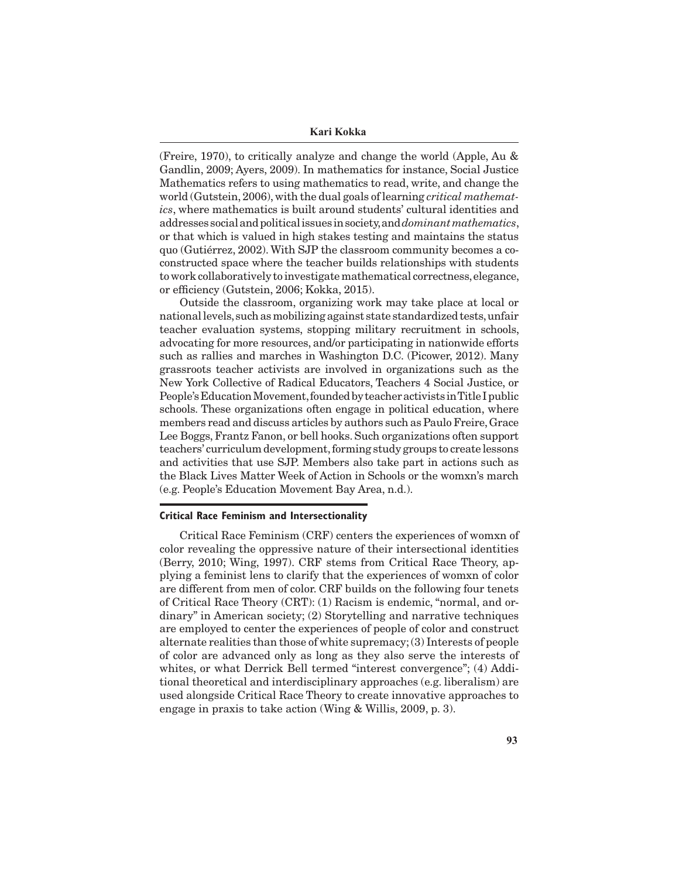#### **Kari Kokka**

(Freire, 1970), to critically analyze and change the world (Apple, Au & Gandlin, 2009; Ayers, 2009). In mathematics for instance, Social Justice Mathematics refers to using mathematics to read, write, and change the world (Gutstein, 2006), with the dual goals of learning *critical mathematics*, where mathematics is built around students' cultural identities and addresses social and political issues in society, and *dominant mathematics*, or that which is valued in high stakes testing and maintains the status quo (Gutiérrez, 2002). With SJP the classroom community becomes a coconstructed space where the teacher builds relationships with students to work collaboratively to investigate mathematical correctness, elegance, or efficiency (Gutstein, 2006; Kokka, 2015).

Outside the classroom, organizing work may take place at local or national levels, such as mobilizing against state standardized tests, unfair teacher evaluation systems, stopping military recruitment in schools, advocating for more resources, and/or participating in nationwide efforts such as rallies and marches in Washington D.C. (Picower, 2012). Many grassroots teacher activists are involved in organizations such as the New York Collective of Radical Educators, Teachers 4 Social Justice, or People's Education Movement, founded by teacher activists in Title I public schools. These organizations often engage in political education, where members read and discuss articles by authors such as Paulo Freire, Grace Lee Boggs, Frantz Fanon, or bell hooks. Such organizations often support teachers' curriculum development, forming study groups to create lessons and activities that use SJP. Members also take part in actions such as the Black Lives Matter Week of Action in Schools or the womxn's march (e.g. People's Education Movement Bay Area, n.d.).

#### **Critical Race Feminism and Intersectionality**

Critical Race Feminism (CRF) centers the experiences of womxn of color revealing the oppressive nature of their intersectional identities (Berry, 2010; Wing, 1997). CRF stems from Critical Race Theory, applying a feminist lens to clarify that the experiences of womxn of color are different from men of color. CRF builds on the following four tenets of Critical Race Theory (CRT): (1) Racism is endemic, "normal, and ordinary" in American society; (2) Storytelling and narrative techniques are employed to center the experiences of people of color and construct alternate realities than those of white supremacy; (3) Interests of people of color are advanced only as long as they also serve the interests of whites, or what Derrick Bell termed "interest convergence"; (4) Additional theoretical and interdisciplinary approaches (e.g. liberalism) are used alongside Critical Race Theory to create innovative approaches to engage in praxis to take action (Wing & Willis, 2009, p. 3).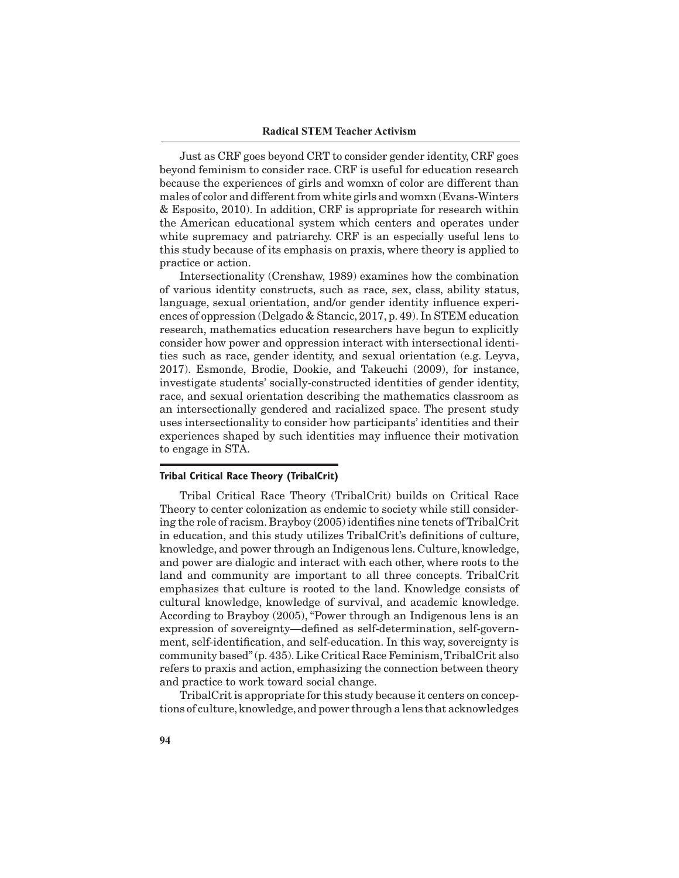Just as CRF goes beyond CRT to consider gender identity, CRF goes beyond feminism to consider race. CRF is useful for education research because the experiences of girls and womxn of color are different than males of color and different from white girls and womxn (Evans-Winters & Esposito, 2010). In addition, CRF is appropriate for research within the American educational system which centers and operates under white supremacy and patriarchy. CRF is an especially useful lens to this study because of its emphasis on praxis, where theory is applied to practice or action.

Intersectionality (Crenshaw, 1989) examines how the combination of various identity constructs, such as race, sex, class, ability status, language, sexual orientation, and/or gender identity influence experiences of oppression (Delgado & Stancic, 2017, p. 49). In STEM education research, mathematics education researchers have begun to explicitly consider how power and oppression interact with intersectional identities such as race, gender identity, and sexual orientation (e.g. Leyva, 2017). Esmonde, Brodie, Dookie, and Takeuchi (2009), for instance, investigate students' socially-constructed identities of gender identity, race, and sexual orientation describing the mathematics classroom as an intersectionally gendered and racialized space. The present study uses intersectionality to consider how participants' identities and their experiences shaped by such identities may influence their motivation to engage in STA.

#### **Tribal Critical Race Theory (TribalCrit)**

Tribal Critical Race Theory (TribalCrit) builds on Critical Race Theory to center colonization as endemic to society while still considering the role of racism. Brayboy (2005) identifies nine tenets of TribalCrit in education, and this study utilizes TribalCrit's definitions of culture, knowledge, and power through an Indigenous lens. Culture, knowledge, and power are dialogic and interact with each other, where roots to the land and community are important to all three concepts. TribalCrit emphasizes that culture is rooted to the land. Knowledge consists of cultural knowledge, knowledge of survival, and academic knowledge. According to Brayboy (2005), "Power through an Indigenous lens is an expression of sovereignty—defined as self-determination, self-government, self-identification, and self-education. In this way, sovereignty is community based" (p. 435). Like Critical Race Feminism, TribalCrit also refers to praxis and action, emphasizing the connection between theory and practice to work toward social change.

TribalCrit is appropriate for this study because it centers on conceptions of culture, knowledge, and power through a lens that acknowledges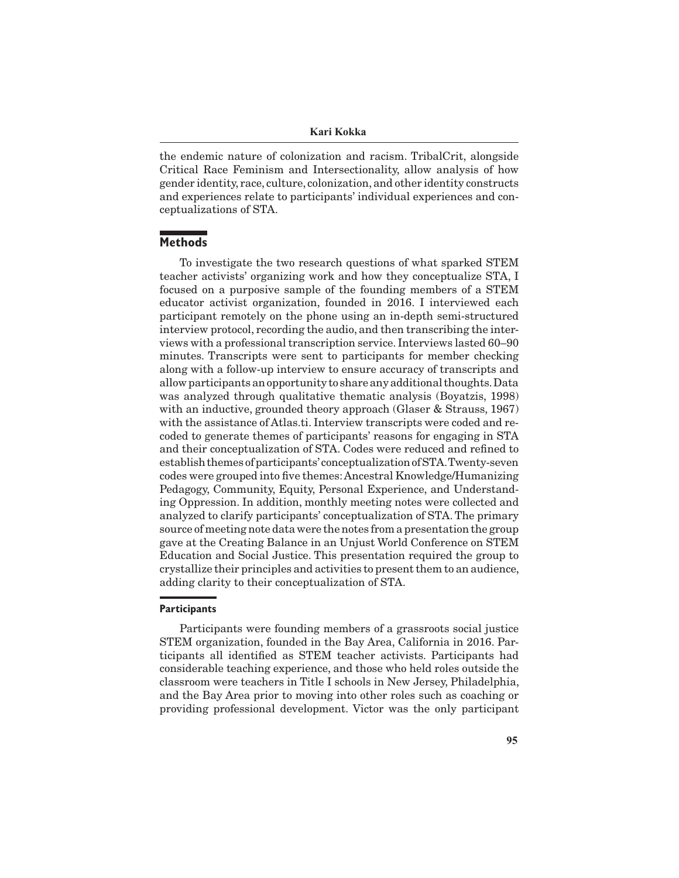the endemic nature of colonization and racism. TribalCrit, alongside Critical Race Feminism and Intersectionality, allow analysis of how gender identity, race, culture, colonization, and other identity constructs and experiences relate to participants' individual experiences and conceptualizations of STA.

# **Methods**

To investigate the two research questions of what sparked STEM teacher activists' organizing work and how they conceptualize STA, I focused on a purposive sample of the founding members of a STEM educator activist organization, founded in 2016. I interviewed each participant remotely on the phone using an in-depth semi-structured interview protocol, recording the audio, and then transcribing the interviews with a professional transcription service. Interviews lasted 60–90 minutes. Transcripts were sent to participants for member checking along with a follow-up interview to ensure accuracy of transcripts and allow participants an opportunity to share any additional thoughts. Data was analyzed through qualitative thematic analysis (Boyatzis, 1998) with an inductive, grounded theory approach (Glaser & Strauss, 1967) with the assistance of Atlas.ti. Interview transcripts were coded and recoded to generate themes of participants' reasons for engaging in STA and their conceptualization of STA. Codes were reduced and refined to establish themes of participants' conceptualization of STA. Twenty-seven codes were grouped into five themes: Ancestral Knowledge/Humanizing Pedagogy, Community, Equity, Personal Experience, and Understanding Oppression. In addition, monthly meeting notes were collected and analyzed to clarify participants' conceptualization of STA. The primary source of meeting note data were the notes from a presentation the group gave at the Creating Balance in an Unjust World Conference on STEM Education and Social Justice. This presentation required the group to crystallize their principles and activities to present them to an audience, adding clarity to their conceptualization of STA.

## **Participants**

Participants were founding members of a grassroots social justice STEM organization, founded in the Bay Area, California in 2016. Participants all identified as STEM teacher activists. Participants had considerable teaching experience, and those who held roles outside the classroom were teachers in Title I schools in New Jersey, Philadelphia, and the Bay Area prior to moving into other roles such as coaching or providing professional development. Victor was the only participant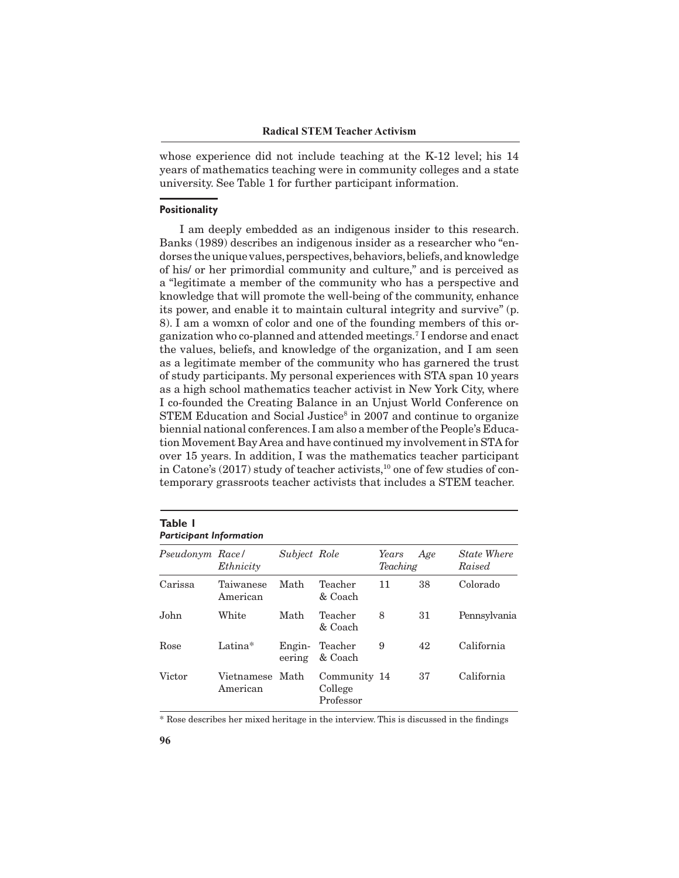whose experience did not include teaching at the K-12 level; his 14 years of mathematics teaching were in community colleges and a state university. See Table 1 for further participant information.

#### **Positionality**

I am deeply embedded as an indigenous insider to this research. Banks (1989) describes an indigenous insider as a researcher who "endorses the unique values, perspectives, behaviors, beliefs, and knowledge of his/ or her primordial community and culture," and is perceived as a "legitimate a member of the community who has a perspective and knowledge that will promote the well-being of the community, enhance its power, and enable it to maintain cultural integrity and survive" (p. 8). I am a womxn of color and one of the founding members of this organization who co-planned and attended meetings.7 I endorse and enact the values, beliefs, and knowledge of the organization, and I am seen as a legitimate member of the community who has garnered the trust of study participants. My personal experiences with STA span 10 years as a high school mathematics teacher activist in New York City, where I co-founded the Creating Balance in an Unjust World Conference on STEM Education and Social Justice<sup>8</sup> in 2007 and continue to organize biennial national conferences. I am also a member of the People's Education Movement Bay Area and have continued my involvement in STA for over 15 years. In addition, I was the mathematics teacher participant in Catone's  $(2017)$  study of teacher activists,<sup>10</sup> one of few studies of contemporary grassroots teacher activists that includes a STEM teacher.

#### **Table 1** *Participant Information*

| Pseudonym Race/ | Ethnicity              | Subject Role     |                                      | Years<br>Teaching | Age | <b>State Where</b><br>Raised |
|-----------------|------------------------|------------------|--------------------------------------|-------------------|-----|------------------------------|
| Carissa         | Taiwanese<br>American  | Math             | Teacher<br>& Coach                   | 11                | 38  | Colorado                     |
| John            | White                  | Math             | Teacher<br>& Coach                   | 8                 | 31  | Pennsylvania                 |
| Rose            | Latina*                | Engin-<br>eering | Teacher<br>& Coach                   | 9                 | 42  | California                   |
| Victor          | Vietnamese<br>American | Math             | Community 14<br>College<br>Professor |                   | 37  | California                   |

\* Rose describes her mixed heritage in the interview. This is discussed in the findings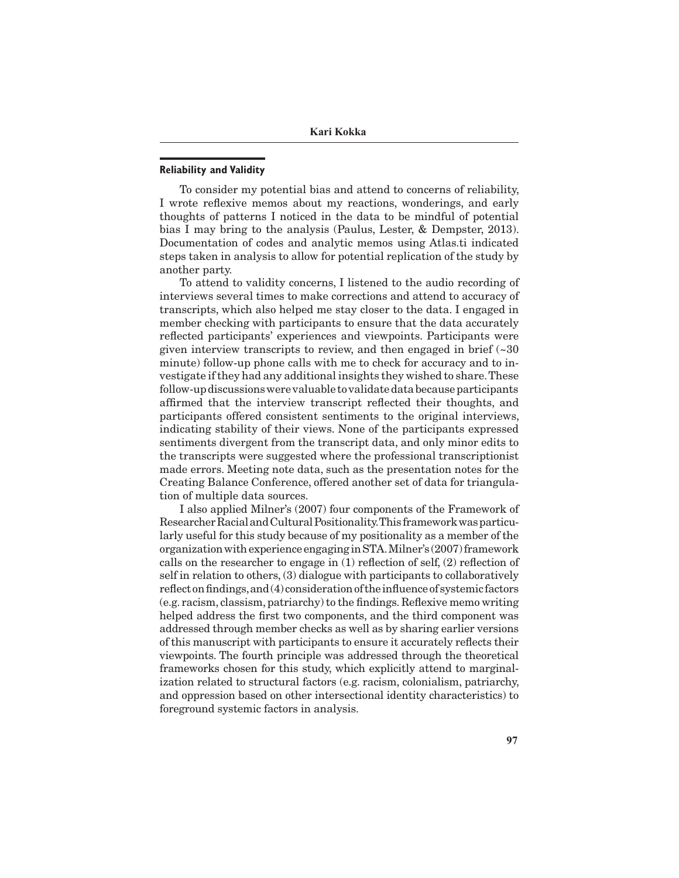## **Reliability and Validity**

To consider my potential bias and attend to concerns of reliability, I wrote reflexive memos about my reactions, wonderings, and early thoughts of patterns I noticed in the data to be mindful of potential bias I may bring to the analysis (Paulus, Lester, & Dempster, 2013). Documentation of codes and analytic memos using Atlas.ti indicated steps taken in analysis to allow for potential replication of the study by another party.

To attend to validity concerns, I listened to the audio recording of interviews several times to make corrections and attend to accuracy of transcripts, which also helped me stay closer to the data. I engaged in member checking with participants to ensure that the data accurately reflected participants' experiences and viewpoints. Participants were given interview transcripts to review, and then engaged in brief  $\left(\sim 30\right)$ minute) follow-up phone calls with me to check for accuracy and to investigate if they had any additional insights they wished to share. These follow-up discussions were valuable to validate data because participants affirmed that the interview transcript reflected their thoughts, and participants offered consistent sentiments to the original interviews, indicating stability of their views. None of the participants expressed sentiments divergent from the transcript data, and only minor edits to the transcripts were suggested where the professional transcriptionist made errors. Meeting note data, such as the presentation notes for the Creating Balance Conference, offered another set of data for triangulation of multiple data sources.

I also applied Milner's (2007) four components of the Framework of Researcher Racial and Cultural Positionality. This framework was particularly useful for this study because of my positionality as a member of the organization with experience engaging in STA. Milner's (2007) framework calls on the researcher to engage in (1) reflection of self, (2) reflection of self in relation to others, (3) dialogue with participants to collaboratively reflect on findings, and (4) consideration of the influence of systemic factors (e.g. racism, classism, patriarchy) to the findings. Reflexive memo writing helped address the first two components, and the third component was addressed through member checks as well as by sharing earlier versions of this manuscript with participants to ensure it accurately reflects their viewpoints. The fourth principle was addressed through the theoretical frameworks chosen for this study, which explicitly attend to marginalization related to structural factors (e.g. racism, colonialism, patriarchy, and oppression based on other intersectional identity characteristics) to foreground systemic factors in analysis.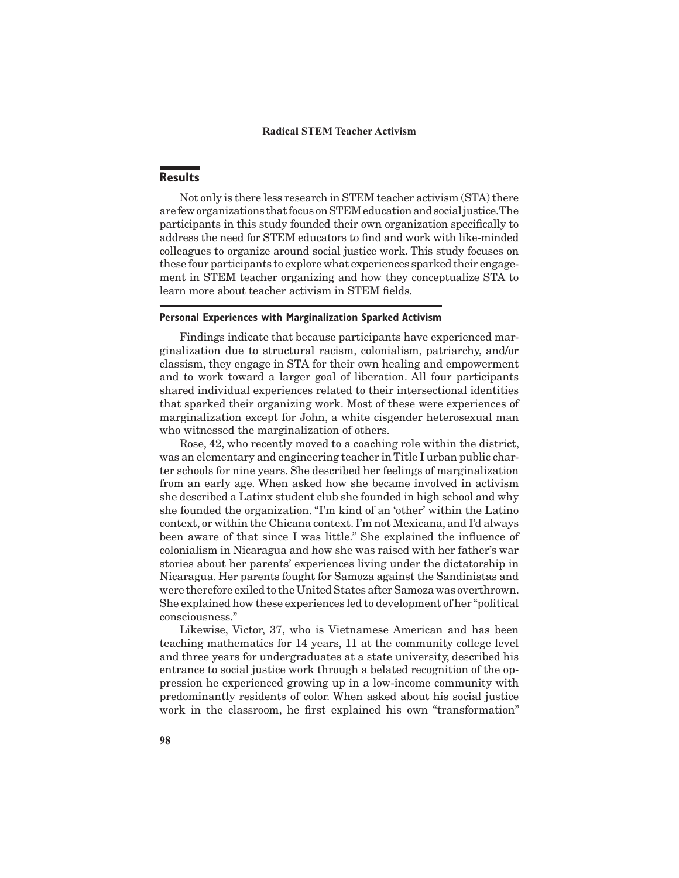# **Results**

Not only is there less research in STEM teacher activism (STA) there are few organizations that focus on STEM education and social justice. The participants in this study founded their own organization specifically to address the need for STEM educators to find and work with like-minded colleagues to organize around social justice work. This study focuses on these four participants to explore what experiences sparked their engagement in STEM teacher organizing and how they conceptualize STA to learn more about teacher activism in STEM fields.

#### **Personal Experiences with Marginalization Sparked Activism**

Findings indicate that because participants have experienced marginalization due to structural racism, colonialism, patriarchy, and/or classism, they engage in STA for their own healing and empowerment and to work toward a larger goal of liberation. All four participants shared individual experiences related to their intersectional identities that sparked their organizing work. Most of these were experiences of marginalization except for John, a white cisgender heterosexual man who witnessed the marginalization of others.

Rose, 42, who recently moved to a coaching role within the district, was an elementary and engineering teacher in Title I urban public charter schools for nine years. She described her feelings of marginalization from an early age. When asked how she became involved in activism she described a Latinx student club she founded in high school and why she founded the organization. "I'm kind of an 'other' within the Latino context, or within the Chicana context. I'm not Mexicana, and I'd always been aware of that since I was little." She explained the influence of colonialism in Nicaragua and how she was raised with her father's war stories about her parents' experiences living under the dictatorship in Nicaragua. Her parents fought for Samoza against the Sandinistas and were therefore exiled to the United States after Samoza was overthrown. She explained how these experiences led to development of her "political consciousness."

Likewise, Victor, 37, who is Vietnamese American and has been teaching mathematics for 14 years, 11 at the community college level and three years for undergraduates at a state university, described his entrance to social justice work through a belated recognition of the oppression he experienced growing up in a low-income community with predominantly residents of color. When asked about his social justice work in the classroom, he first explained his own "transformation"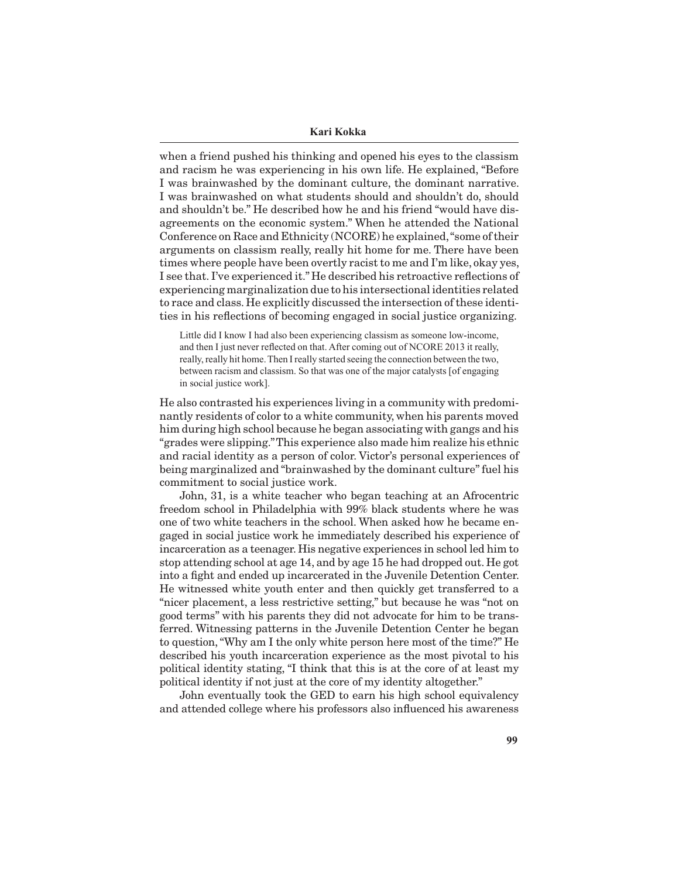#### **Kari Kokka**

when a friend pushed his thinking and opened his eyes to the classism and racism he was experiencing in his own life. He explained, "Before I was brainwashed by the dominant culture, the dominant narrative. I was brainwashed on what students should and shouldn't do, should and shouldn't be." He described how he and his friend "would have disagreements on the economic system." When he attended the National Conference on Race and Ethnicity (NCORE) he explained, "some of their arguments on classism really, really hit home for me. There have been times where people have been overtly racist to me and I'm like, okay yes, I see that. I've experienced it." He described his retroactive reflections of experiencing marginalization due to his intersectional identities related to race and class. He explicitly discussed the intersection of these identities in his reflections of becoming engaged in social justice organizing.

Little did I know I had also been experiencing classism as someone low-income, and then I just never reflected on that. After coming out of NCORE 2013 it really, really, really hit home. Then I really started seeing the connection between the two, between racism and classism. So that was one of the major catalysts [of engaging in social justice work].

He also contrasted his experiences living in a community with predominantly residents of color to a white community, when his parents moved him during high school because he began associating with gangs and his "grades were slipping." This experience also made him realize his ethnic and racial identity as a person of color. Victor's personal experiences of being marginalized and "brainwashed by the dominant culture" fuel his commitment to social justice work.

John, 31, is a white teacher who began teaching at an Afrocentric freedom school in Philadelphia with 99% black students where he was one of two white teachers in the school. When asked how he became engaged in social justice work he immediately described his experience of incarceration as a teenager. His negative experiences in school led him to stop attending school at age 14, and by age 15 he had dropped out. He got into a fight and ended up incarcerated in the Juvenile Detention Center. He witnessed white youth enter and then quickly get transferred to a "nicer placement, a less restrictive setting," but because he was "not on good terms" with his parents they did not advocate for him to be transferred. Witnessing patterns in the Juvenile Detention Center he began to question, "Why am I the only white person here most of the time?" He described his youth incarceration experience as the most pivotal to his political identity stating, "I think that this is at the core of at least my political identity if not just at the core of my identity altogether."

John eventually took the GED to earn his high school equivalency and attended college where his professors also influenced his awareness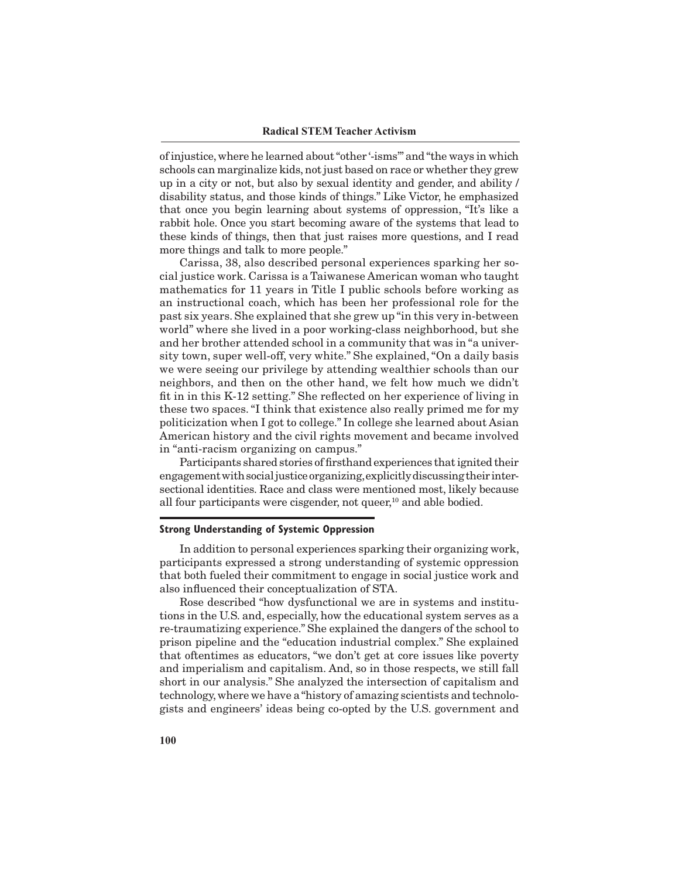of injustice, where he learned about "other '-isms'" and "the ways in which schools can marginalize kids, not just based on race or whether they grew up in a city or not, but also by sexual identity and gender, and ability / disability status, and those kinds of things." Like Victor, he emphasized that once you begin learning about systems of oppression, "It's like a rabbit hole. Once you start becoming aware of the systems that lead to these kinds of things, then that just raises more questions, and I read more things and talk to more people."

Carissa, 38, also described personal experiences sparking her social justice work. Carissa is a Taiwanese American woman who taught mathematics for 11 years in Title I public schools before working as an instructional coach, which has been her professional role for the past six years. She explained that she grew up "in this very in-between world" where she lived in a poor working-class neighborhood, but she and her brother attended school in a community that was in "a university town, super well-off, very white." She explained, "On a daily basis we were seeing our privilege by attending wealthier schools than our neighbors, and then on the other hand, we felt how much we didn't fit in in this K-12 setting." She reflected on her experience of living in these two spaces. "I think that existence also really primed me for my politicization when I got to college." In college she learned about Asian American history and the civil rights movement and became involved in "anti-racism organizing on campus."

Participants shared stories of firsthand experiences that ignited their engagement with social justice organizing, explicitly discussing their intersectional identities. Race and class were mentioned most, likely because all four participants were cisgender, not queer, $10$  and able bodied.

#### **Strong Understanding of Systemic Oppression**

In addition to personal experiences sparking their organizing work, participants expressed a strong understanding of systemic oppression that both fueled their commitment to engage in social justice work and also influenced their conceptualization of STA.

Rose described "how dysfunctional we are in systems and institutions in the U.S. and, especially, how the educational system serves as a re-traumatizing experience." She explained the dangers of the school to prison pipeline and the "education industrial complex." She explained that oftentimes as educators, "we don't get at core issues like poverty and imperialism and capitalism. And, so in those respects, we still fall short in our analysis." She analyzed the intersection of capitalism and technology, where we have a "history of amazing scientists and technologists and engineers' ideas being co-opted by the U.S. government and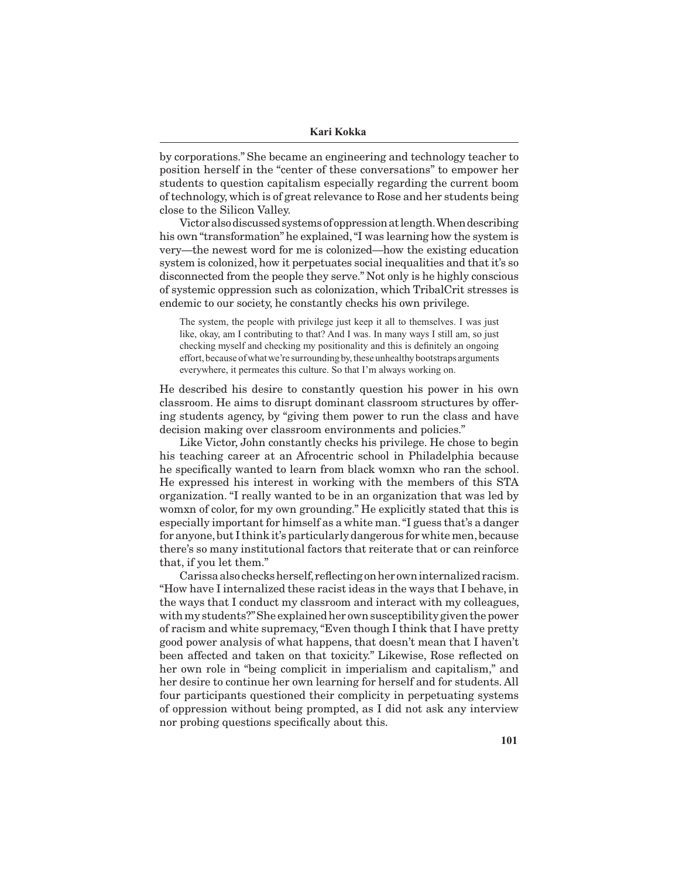by corporations." She became an engineering and technology teacher to position herself in the "center of these conversations" to empower her students to question capitalism especially regarding the current boom of technology, which is of great relevance to Rose and her students being close to the Silicon Valley.

Victor also discussed systems of oppression at length. When describing his own "transformation" he explained, "I was learning how the system is very—the newest word for me is colonized—how the existing education system is colonized, how it perpetuates social inequalities and that it's so disconnected from the people they serve." Not only is he highly conscious of systemic oppression such as colonization, which TribalCrit stresses is endemic to our society, he constantly checks his own privilege.

The system, the people with privilege just keep it all to themselves. I was just like, okay, am I contributing to that? And I was. In many ways I still am, so just checking myself and checking my positionality and this is definitely an ongoing effort, because of what we're surrounding by, these unhealthy bootstraps arguments everywhere, it permeates this culture. So that I'm always working on.

He described his desire to constantly question his power in his own classroom. He aims to disrupt dominant classroom structures by offering students agency, by "giving them power to run the class and have decision making over classroom environments and policies."

Like Victor, John constantly checks his privilege. He chose to begin his teaching career at an Afrocentric school in Philadelphia because he specifically wanted to learn from black womxn who ran the school. He expressed his interest in working with the members of this STA organization. "I really wanted to be in an organization that was led by womxn of color, for my own grounding." He explicitly stated that this is especially important for himself as a white man. "I guess that's a danger for anyone, but I think it's particularly dangerous for white men, because there's so many institutional factors that reiterate that or can reinforce that, if you let them."

Carissa also checks herself, reflecting on her own internalized racism. "How have I internalized these racist ideas in the ways that I behave, in the ways that I conduct my classroom and interact with my colleagues, with my students?" She explained her own susceptibility given the power of racism and white supremacy, "Even though I think that I have pretty good power analysis of what happens, that doesn't mean that I haven't been affected and taken on that toxicity." Likewise, Rose reflected on her own role in "being complicit in imperialism and capitalism," and her desire to continue her own learning for herself and for students. All four participants questioned their complicity in perpetuating systems of oppression without being prompted, as I did not ask any interview nor probing questions specifically about this.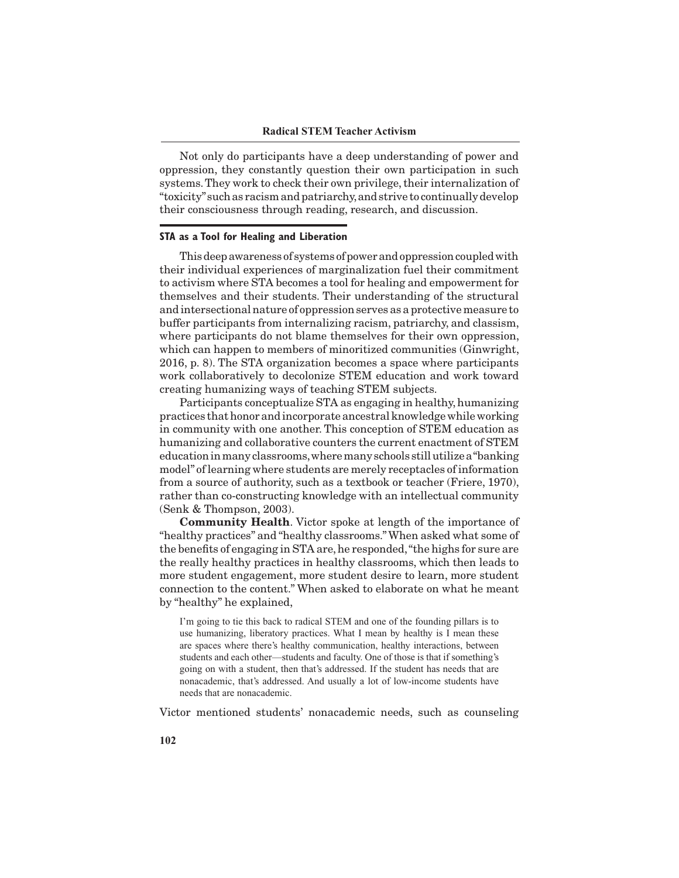Not only do participants have a deep understanding of power and oppression, they constantly question their own participation in such systems. They work to check their own privilege, their internalization of "toxicity" such as racism and patriarchy, and strive to continually develop their consciousness through reading, research, and discussion.

#### **STA as a Tool for Healing and Liberation**

This deep awareness of systems of power and oppression coupled with their individual experiences of marginalization fuel their commitment to activism where STA becomes a tool for healing and empowerment for themselves and their students. Their understanding of the structural and intersectional nature of oppression serves as a protective measure to buffer participants from internalizing racism, patriarchy, and classism, where participants do not blame themselves for their own oppression, which can happen to members of minoritized communities (Ginwright, 2016, p. 8). The STA organization becomes a space where participants work collaboratively to decolonize STEM education and work toward creating humanizing ways of teaching STEM subjects.

Participants conceptualize STA as engaging in healthy, humanizing practices that honor and incorporate ancestral knowledge while working in community with one another. This conception of STEM education as humanizing and collaborative counters the current enactment of STEM education in many classrooms, where many schools still utilize a "banking model" of learning where students are merely receptacles of information from a source of authority, such as a textbook or teacher (Friere, 1970), rather than co-constructing knowledge with an intellectual community (Senk & Thompson, 2003).

**Community Health**. Victor spoke at length of the importance of "healthy practices" and "healthy classrooms." When asked what some of the benefits of engaging in STA are, he responded, "the highs for sure are the really healthy practices in healthy classrooms, which then leads to more student engagement, more student desire to learn, more student connection to the content." When asked to elaborate on what he meant by "healthy" he explained,

I'm going to tie this back to radical STEM and one of the founding pillars is to use humanizing, liberatory practices. What I mean by healthy is I mean these are spaces where there's healthy communication, healthy interactions, between students and each other—students and faculty. One of those is that if something's going on with a student, then that's addressed. If the student has needs that are nonacademic, that's addressed. And usually a lot of low-income students have needs that are nonacademic.

Victor mentioned students' nonacademic needs, such as counseling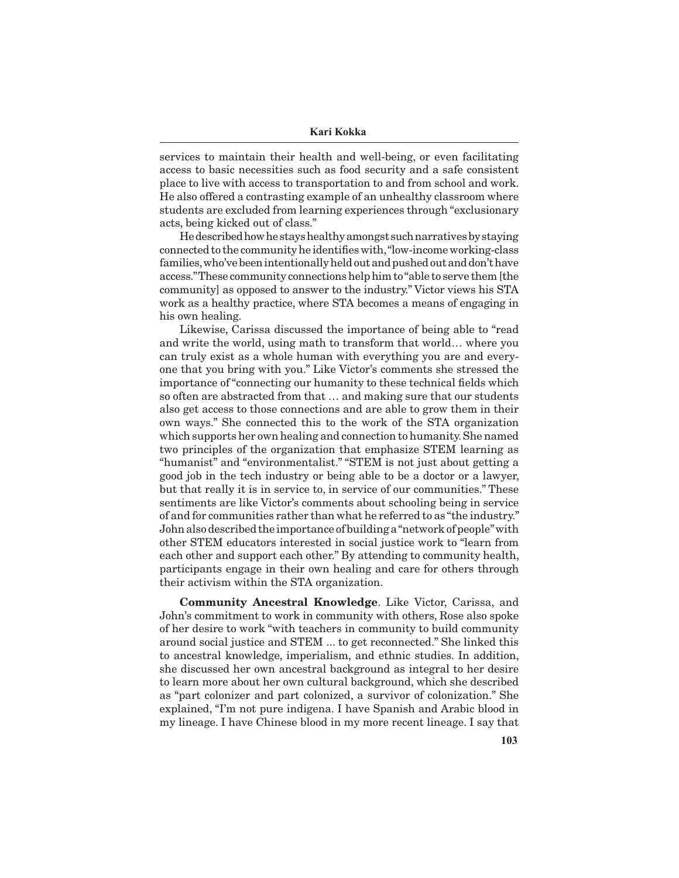services to maintain their health and well-being, or even facilitating access to basic necessities such as food security and a safe consistent place to live with access to transportation to and from school and work. He also offered a contrasting example of an unhealthy classroom where students are excluded from learning experiences through "exclusionary acts, being kicked out of class."

He described how he stays healthy amongst such narratives by staying connected to the community he identifies with, "low-income working-class families, who've been intentionally held out and pushed out and don't have access." These community connections help him to "able to serve them [the community] as opposed to answer to the industry." Victor views his STA work as a healthy practice, where STA becomes a means of engaging in his own healing.

Likewise, Carissa discussed the importance of being able to "read and write the world, using math to transform that world… where you can truly exist as a whole human with everything you are and everyone that you bring with you." Like Victor's comments she stressed the importance of "connecting our humanity to these technical fields which so often are abstracted from that … and making sure that our students also get access to those connections and are able to grow them in their own ways." She connected this to the work of the STA organization which supports her own healing and connection to humanity. She named two principles of the organization that emphasize STEM learning as "humanist" and "environmentalist." "STEM is not just about getting a good job in the tech industry or being able to be a doctor or a lawyer, but that really it is in service to, in service of our communities." These sentiments are like Victor's comments about schooling being in service of and for communities rather than what he referred to as "the industry." John also described the importance of building a "network of people" with other STEM educators interested in social justice work to "learn from each other and support each other." By attending to community health, participants engage in their own healing and care for others through their activism within the STA organization.

**Community Ancestral Knowledge**. Like Victor, Carissa, and John's commitment to work in community with others, Rose also spoke of her desire to work "with teachers in community to build community around social justice and STEM ... to get reconnected." She linked this to ancestral knowledge, imperialism, and ethnic studies. In addition, she discussed her own ancestral background as integral to her desire to learn more about her own cultural background, which she described as "part colonizer and part colonized, a survivor of colonization." She explained, "I'm not pure indigena. I have Spanish and Arabic blood in my lineage. I have Chinese blood in my more recent lineage. I say that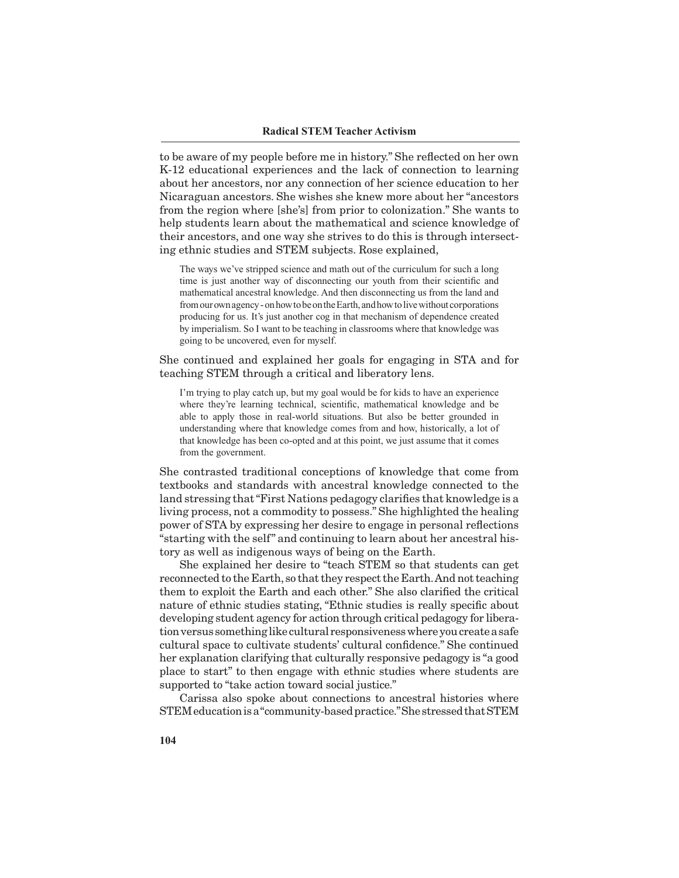to be aware of my people before me in history." She reflected on her own K-12 educational experiences and the lack of connection to learning about her ancestors, nor any connection of her science education to her Nicaraguan ancestors. She wishes she knew more about her "ancestors from the region where [she's] from prior to colonization." She wants to help students learn about the mathematical and science knowledge of their ancestors, and one way she strives to do this is through intersecting ethnic studies and STEM subjects. Rose explained,

The ways we've stripped science and math out of the curriculum for such a long time is just another way of disconnecting our youth from their scientific and mathematical ancestral knowledge. And then disconnecting us from the land and from our own agency - on how to be on the Earth, and how to live without corporations producing for us. It's just another cog in that mechanism of dependence created by imperialism. So I want to be teaching in classrooms where that knowledge was going to be uncovered, even for myself.

She continued and explained her goals for engaging in STA and for teaching STEM through a critical and liberatory lens.

I'm trying to play catch up, but my goal would be for kids to have an experience where they're learning technical, scientific, mathematical knowledge and be able to apply those in real-world situations. But also be better grounded in understanding where that knowledge comes from and how, historically, a lot of that knowledge has been co-opted and at this point, we just assume that it comes from the government.

She contrasted traditional conceptions of knowledge that come from textbooks and standards with ancestral knowledge connected to the land stressing that "First Nations pedagogy clarifies that knowledge is a living process, not a commodity to possess." She highlighted the healing power of STA by expressing her desire to engage in personal reflections "starting with the self" and continuing to learn about her ancestral history as well as indigenous ways of being on the Earth.

She explained her desire to "teach STEM so that students can get reconnected to the Earth, so that they respect the Earth. And not teaching them to exploit the Earth and each other." She also clarified the critical nature of ethnic studies stating, "Ethnic studies is really specific about developing student agency for action through critical pedagogy for liberation versus something like cultural responsiveness where you create a safe cultural space to cultivate students' cultural confidence." She continued her explanation clarifying that culturally responsive pedagogy is "a good place to start" to then engage with ethnic studies where students are supported to "take action toward social justice."

Carissa also spoke about connections to ancestral histories where STEM education is a "community-based practice." She stressed that STEM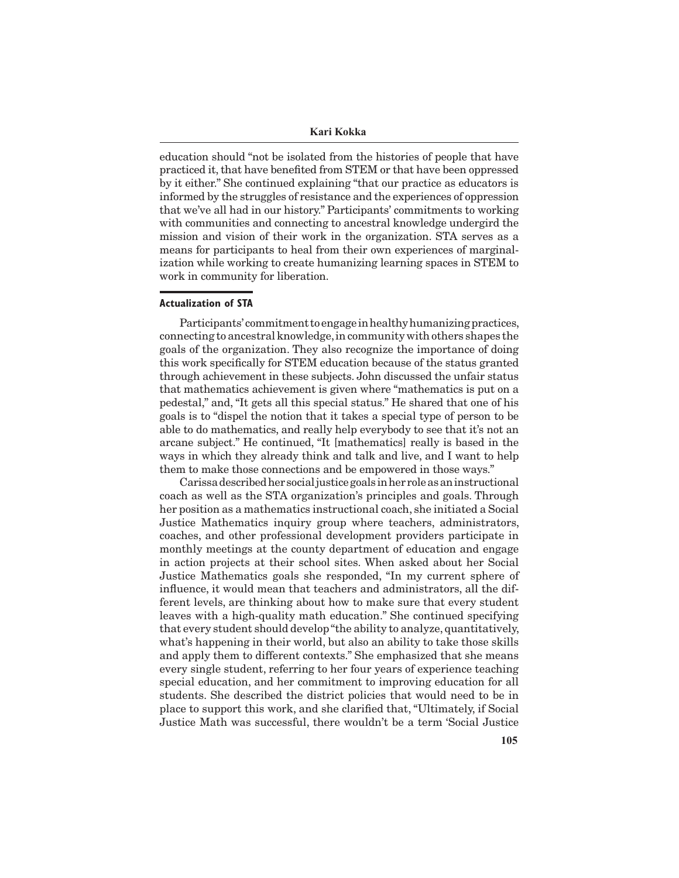**Kari Kokka**

education should "not be isolated from the histories of people that have practiced it, that have benefited from STEM or that have been oppressed by it either." She continued explaining "that our practice as educators is informed by the struggles of resistance and the experiences of oppression that we've all had in our history." Participants' commitments to working with communities and connecting to ancestral knowledge undergird the mission and vision of their work in the organization. STA serves as a means for participants to heal from their own experiences of marginalization while working to create humanizing learning spaces in STEM to work in community for liberation.

#### **Actualization of STA**

Participants' commitment to engage in healthy humanizing practices, connecting to ancestral knowledge, in community with others shapes the goals of the organization. They also recognize the importance of doing this work specifically for STEM education because of the status granted through achievement in these subjects. John discussed the unfair status that mathematics achievement is given where "mathematics is put on a pedestal," and, "It gets all this special status." He shared that one of his goals is to "dispel the notion that it takes a special type of person to be able to do mathematics, and really help everybody to see that it's not an arcane subject." He continued, "It [mathematics] really is based in the ways in which they already think and talk and live, and I want to help them to make those connections and be empowered in those ways."

Carissa described her social justice goals in her role as an instructional coach as well as the STA organization's principles and goals. Through her position as a mathematics instructional coach, she initiated a Social Justice Mathematics inquiry group where teachers, administrators, coaches, and other professional development providers participate in monthly meetings at the county department of education and engage in action projects at their school sites. When asked about her Social Justice Mathematics goals she responded, "In my current sphere of influence, it would mean that teachers and administrators, all the different levels, are thinking about how to make sure that every student leaves with a high-quality math education." She continued specifying that every student should develop "the ability to analyze, quantitatively, what's happening in their world, but also an ability to take those skills and apply them to different contexts." She emphasized that she means every single student, referring to her four years of experience teaching special education, and her commitment to improving education for all students. She described the district policies that would need to be in place to support this work, and she clarified that, "Ultimately, if Social Justice Math was successful, there wouldn't be a term 'Social Justice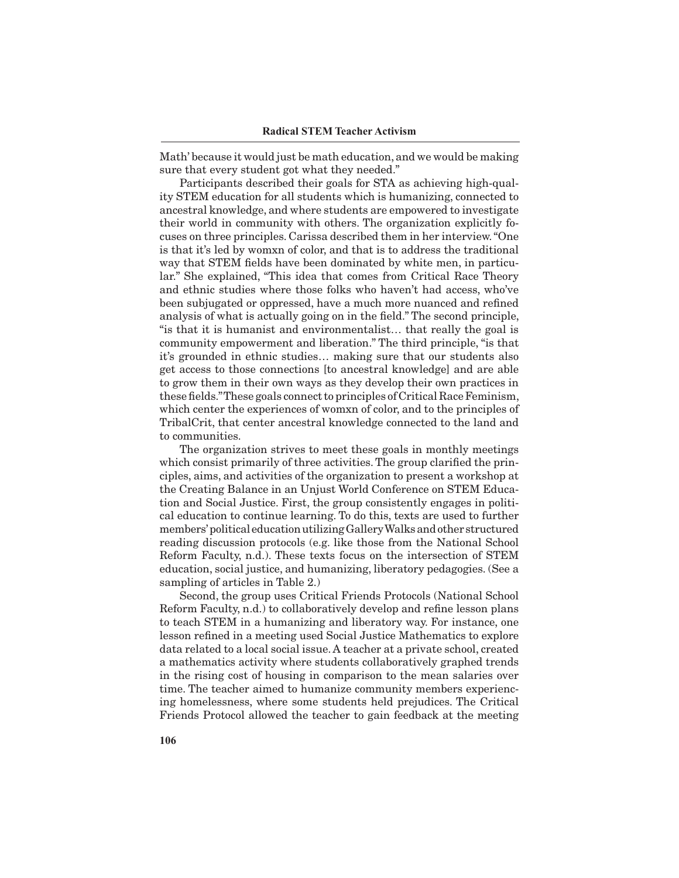Math' because it would just be math education, and we would be making sure that every student got what they needed."

Participants described their goals for STA as achieving high-quality STEM education for all students which is humanizing, connected to ancestral knowledge, and where students are empowered to investigate their world in community with others. The organization explicitly focuses on three principles. Carissa described them in her interview. "One is that it's led by womxn of color, and that is to address the traditional way that STEM fields have been dominated by white men, in particular." She explained, "This idea that comes from Critical Race Theory and ethnic studies where those folks who haven't had access, who've been subjugated or oppressed, have a much more nuanced and refined analysis of what is actually going on in the field." The second principle, "is that it is humanist and environmentalist… that really the goal is community empowerment and liberation." The third principle, "is that it's grounded in ethnic studies… making sure that our students also get access to those connections [to ancestral knowledge] and are able to grow them in their own ways as they develop their own practices in these fields." These goals connect to principles of Critical Race Feminism, which center the experiences of womxn of color, and to the principles of TribalCrit, that center ancestral knowledge connected to the land and to communities.

The organization strives to meet these goals in monthly meetings which consist primarily of three activities. The group clarified the principles, aims, and activities of the organization to present a workshop at the Creating Balance in an Unjust World Conference on STEM Education and Social Justice. First, the group consistently engages in political education to continue learning. To do this, texts are used to further members' political education utilizing Gallery Walks and other structured reading discussion protocols (e.g. like those from the National School Reform Faculty, n.d.). These texts focus on the intersection of STEM education, social justice, and humanizing, liberatory pedagogies. (See a sampling of articles in Table 2.)

Second, the group uses Critical Friends Protocols (National School Reform Faculty, n.d.) to collaboratively develop and refine lesson plans to teach STEM in a humanizing and liberatory way. For instance, one lesson refined in a meeting used Social Justice Mathematics to explore data related to a local social issue. A teacher at a private school, created a mathematics activity where students collaboratively graphed trends in the rising cost of housing in comparison to the mean salaries over time. The teacher aimed to humanize community members experiencing homelessness, where some students held prejudices. The Critical Friends Protocol allowed the teacher to gain feedback at the meeting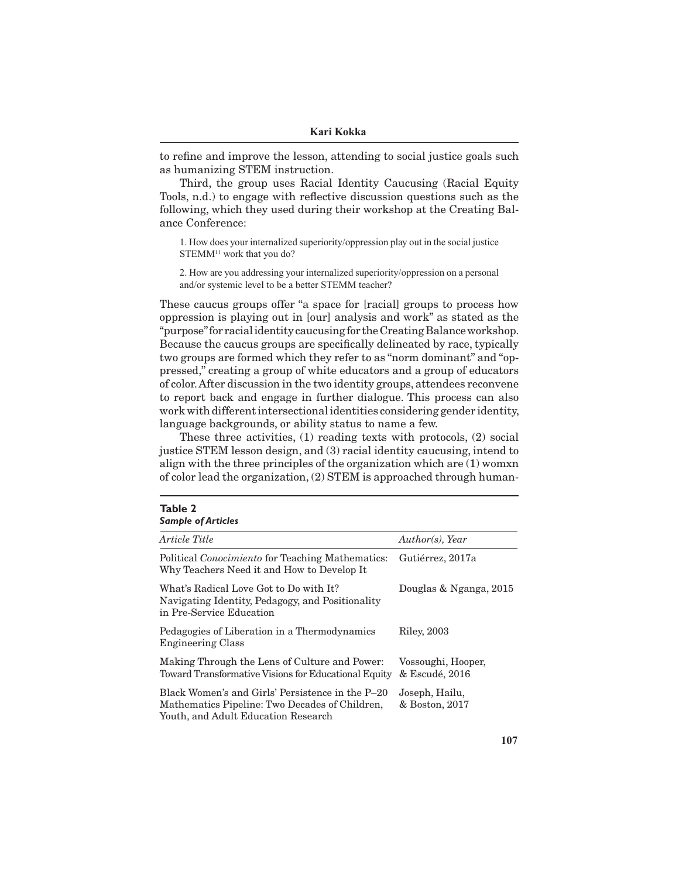to refine and improve the lesson, attending to social justice goals such as humanizing STEM instruction.

Third, the group uses Racial Identity Caucusing (Racial Equity Tools, n.d.) to engage with reflective discussion questions such as the following, which they used during their workshop at the Creating Balance Conference:

1. How does your internalized superiority/oppression play out in the social justice STEMM<sup>11</sup> work that you do?

2. How are you addressing your internalized superiority/oppression on a personal and/or systemic level to be a better STEMM teacher?

These caucus groups offer "a space for [racial] groups to process how oppression is playing out in [our] analysis and work" as stated as the "purpose" for racial identity caucusing for the Creating Balance workshop. Because the caucus groups are specifically delineated by race, typically two groups are formed which they refer to as "norm dominant" and "oppressed," creating a group of white educators and a group of educators of color. After discussion in the two identity groups, attendees reconvene to report back and engage in further dialogue. This process can also work with different intersectional identities considering gender identity, language backgrounds, or ability status to name a few.

These three activities, (1) reading texts with protocols, (2) social justice STEM lesson design, and (3) racial identity caucusing, intend to align with the three principles of the organization which are (1) womxn of color lead the organization, (2) STEM is approached through human-

**Table 2**

| .<br><b>Sample of Articles</b>                                                                                                            |                                      |
|-------------------------------------------------------------------------------------------------------------------------------------------|--------------------------------------|
| Article Title                                                                                                                             | Author(s), Year                      |
| Political <i>Conocimiento</i> for Teaching Mathematics:<br>Why Teachers Need it and How to Develop It                                     | Gutiérrez, 2017a                     |
| What's Radical Love Got to Do with It?<br>Navigating Identity, Pedagogy, and Positionality<br>in Pre-Service Education                    | Douglas & Nganga, 2015               |
| Pedagogies of Liberation in a Thermodynamics<br><b>Engineering Class</b>                                                                  | Riley, 2003                          |
| Making Through the Lens of Culture and Power:<br>Toward Transformative Visions for Educational Equity                                     | Vossoughi, Hooper,<br>& Escudé, 2016 |
| Black Women's and Girls' Persistence in the P–20<br>Mathematics Pipeline: Two Decades of Children,<br>Youth, and Adult Education Research | Joseph, Hailu,<br>& Boston, 2017     |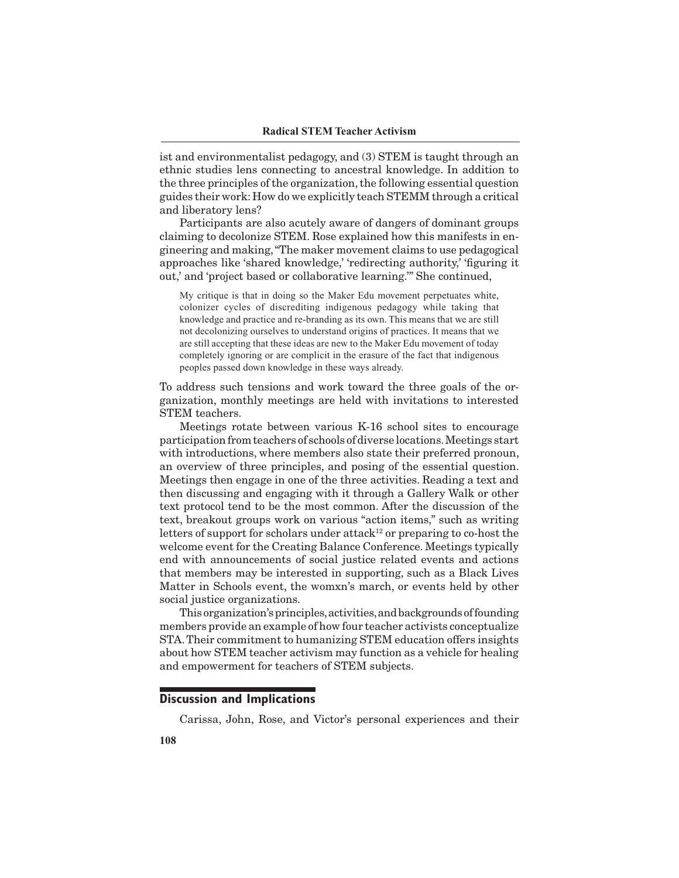ist and environmentalist pedagogy, and (3) STEM is taught through an ethnic studies lens connecting to ancestral knowledge. In addition to the three principles of the organization, the following essential question guides their work: How do we explicitly teach STEMM through a critical and liberatory lens?

Participants are also acutely aware of dangers of dominant groups claiming to decolonize STEM. Rose explained how this manifests in engineering and making, "The maker movement claims to use pedagogical approaches like 'shared knowledge,' 'redirecting authority,' 'figuring it out,' and 'project based or collaborative learning.'" She continued,

My critique is that in doing so the Maker Edu movement perpetuates white, colonizer cycles of discrediting indigenous pedagogy while taking that knowledge and practice and re-branding as its own. This means that we are still not decolonizing ourselves to understand origins of practices. It means that we are still accepting that these ideas are new to the Maker Edu movement of today completely ignoring or are complicit in the erasure of the fact that indigenous peoples passed down knowledge in these ways already.

To address such tensions and work toward the three goals of the organization, monthly meetings are held with invitations to interested STEM teachers.

Meetings rotate between various K-16 school sites to encourage participation from teachers of schools of diverse locations. Meetings start with introductions, where members also state their preferred pronoun, an overview of three principles, and posing of the essential question. Meetings then engage in one of the three activities. Reading a text and then discussing and engaging with it through a Gallery Walk or other text protocol tend to be the most common. After the discussion of the text, breakout groups work on various "action items," such as writing letters of support for scholars under attack<sup>12</sup> or preparing to co-host the welcome event for the Creating Balance Conference. Meetings typically end with announcements of social justice related events and actions that members may be interested in supporting, such as a Black Lives Matter in Schools event, the womxn's march, or events held by other social justice organizations.

This organization's principles, activities, and backgrounds of founding members provide an example of how four teacher activists conceptualize STA. Their commitment to humanizing STEM education offers insights about how STEM teacher activism may function as a vehicle for healing and empowerment for teachers of STEM subjects.

#### **Discussion and Implications**

Carissa, John, Rose, and Victor's personal experiences and their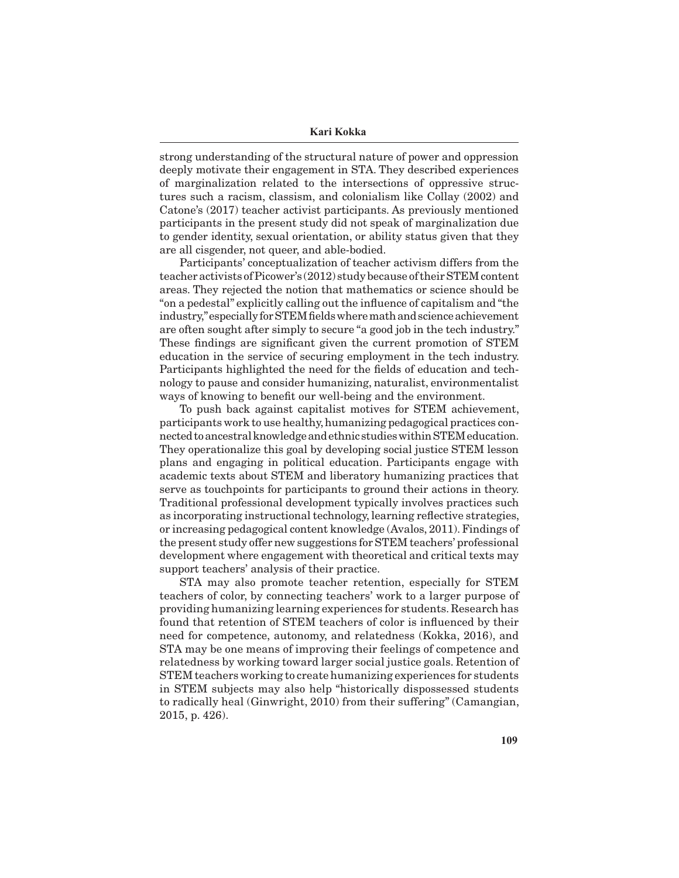strong understanding of the structural nature of power and oppression deeply motivate their engagement in STA. They described experiences of marginalization related to the intersections of oppressive structures such a racism, classism, and colonialism like Collay (2002) and Catone's (2017) teacher activist participants. As previously mentioned participants in the present study did not speak of marginalization due to gender identity, sexual orientation, or ability status given that they are all cisgender, not queer, and able-bodied.

Participants' conceptualization of teacher activism differs from the teacher activists of Picower's (2012) study because of their STEM content areas. They rejected the notion that mathematics or science should be "on a pedestal" explicitly calling out the influence of capitalism and "the industry," especially for STEM fields where math and science achievement are often sought after simply to secure "a good job in the tech industry." These findings are significant given the current promotion of STEM education in the service of securing employment in the tech industry. Participants highlighted the need for the fields of education and technology to pause and consider humanizing, naturalist, environmentalist ways of knowing to benefit our well-being and the environment.

To push back against capitalist motives for STEM achievement, participants work to use healthy, humanizing pedagogical practices connected to ancestral knowledge and ethnic studies within STEM education. They operationalize this goal by developing social justice STEM lesson plans and engaging in political education. Participants engage with academic texts about STEM and liberatory humanizing practices that serve as touchpoints for participants to ground their actions in theory. Traditional professional development typically involves practices such as incorporating instructional technology, learning reflective strategies, or increasing pedagogical content knowledge (Avalos, 2011). Findings of the present study offer new suggestions for STEM teachers' professional development where engagement with theoretical and critical texts may support teachers' analysis of their practice.

STA may also promote teacher retention, especially for STEM teachers of color, by connecting teachers' work to a larger purpose of providing humanizing learning experiences for students. Research has found that retention of STEM teachers of color is influenced by their need for competence, autonomy, and relatedness (Kokka, 2016), and STA may be one means of improving their feelings of competence and relatedness by working toward larger social justice goals. Retention of STEM teachers working to create humanizing experiences for students in STEM subjects may also help "historically dispossessed students to radically heal (Ginwright, 2010) from their suffering" (Camangian, 2015, p. 426).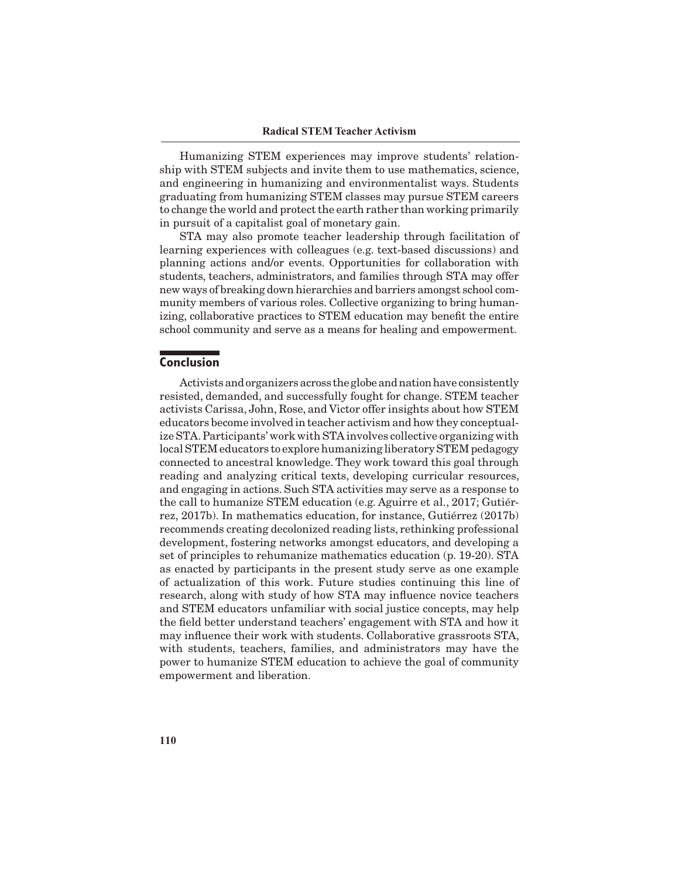Humanizing STEM experiences may improve students' relationship with STEM subjects and invite them to use mathematics, science, and engineering in humanizing and environmentalist ways. Students graduating from humanizing STEM classes may pursue STEM careers to change the world and protect the earth rather than working primarily in pursuit of a capitalist goal of monetary gain.

STA may also promote teacher leadership through facilitation of learning experiences with colleagues (e.g. text-based discussions) and planning actions and/or events. Opportunities for collaboration with students, teachers, administrators, and families through STA may offer new ways of breaking down hierarchies and barriers amongst school community members of various roles. Collective organizing to bring humanizing, collaborative practices to STEM education may benefit the entire school community and serve as a means for healing and empowerment.

## **Conclusion**

Activists and organizers across the globe and nation have consistently resisted, demanded, and successfully fought for change. STEM teacher activists Carissa, John, Rose, and Victor offer insights about how STEM educators become involved in teacher activism and how they conceptualize STA. Participants' work with STA involves collective organizing with local STEM educators to explore humanizing liberatory STEM pedagogy connected to ancestral knowledge. They work toward this goal through reading and analyzing critical texts, developing curricular resources, and engaging in actions. Such STA activities may serve as a response to the call to humanize STEM education (e.g. Aguirre et al., 2017; Gutiérrez, 2017b). In mathematics education, for instance, Gutiérrez (2017b) recommends creating decolonized reading lists, rethinking professional development, fostering networks amongst educators, and developing a set of principles to rehumanize mathematics education (p. 19-20). STA as enacted by participants in the present study serve as one example of actualization of this work. Future studies continuing this line of research, along with study of how STA may influence novice teachers and STEM educators unfamiliar with social justice concepts, may help the field better understand teachers' engagement with STA and how it may influence their work with students. Collaborative grassroots STA, with students, teachers, families, and administrators may have the power to humanize STEM education to achieve the goal of community empowerment and liberation.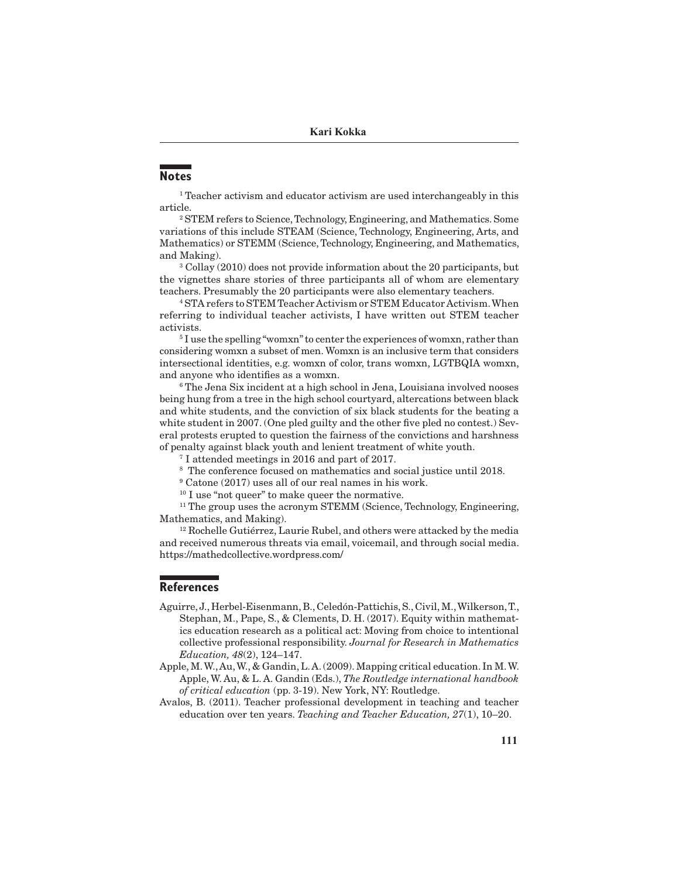# **Notes**

<sup>1</sup> Teacher activism and educator activism are used interchangeably in this article.

2 STEM refers to Science, Technology, Engineering, and Mathematics. Some variations of this include STEAM (Science, Technology, Engineering, Arts, and Mathematics) or STEMM (Science, Technology, Engineering, and Mathematics, and Making).

<sup>3</sup> Collay (2010) does not provide information about the 20 participants, but the vignettes share stories of three participants all of whom are elementary teachers. Presumably the 20 participants were also elementary teachers.

4 STA refers to STEM Teacher Activism or STEM Educator Activism. When referring to individual teacher activists, I have written out STEM teacher activists.

<sup>5</sup>I use the spelling "womxn" to center the experiences of womxn, rather than considering womxn a subset of men. Womxn is an inclusive term that considers intersectional identities, e.g. womxn of color, trans womxn, LGTBQIA womxn, and anyone who identifies as a womxn.

6 The Jena Six incident at a high school in Jena, Louisiana involved nooses being hung from a tree in the high school courtyard, altercations between black and white students, and the conviction of six black students for the beating a white student in 2007. (One pled guilty and the other five pled no contest.) Several protests erupted to question the fairness of the convictions and harshness of penalty against black youth and lenient treatment of white youth.

7 I attended meetings in 2016 and part of 2017.

- 8 The conference focused on mathematics and social justice until 2018.
- 9 Catone (2017) uses all of our real names in his work.

<sup>10</sup> I use "not queer" to make queer the normative.

<sup>11</sup> The group uses the acronym STEMM (Science, Technology, Engineering, Mathematics, and Making).

<sup>12</sup> Rochelle Gutiérrez, Laurie Rubel, and others were attacked by the media and received numerous threats via email, voicemail, and through social media. https://mathedcollective.wordpress.com/

## **References**

- Aguirre, J., Herbel-Eisenmann, B., Celedón-Pattichis, S., Civil, M., Wilkerson, T., Stephan, M., Pape, S., & Clements, D. H. (2017). Equity within mathematics education research as a political act: Moving from choice to intentional collective professional responsibility. *Journal for Research in Mathematics Education, 48*(2), 124–147.
- Apple, M. W., Au, W., & Gandin, L. A. (2009). Mapping critical education. In M. W. Apple, W. Au, & L. A. Gandin (Eds.), *The Routledge international handbook of critical education* (pp. 3-19). New York, NY: Routledge.
- Avalos, B. (2011). Teacher professional development in teaching and teacher education over ten years. *Teaching and Teacher Education, 27*(1), 10–20.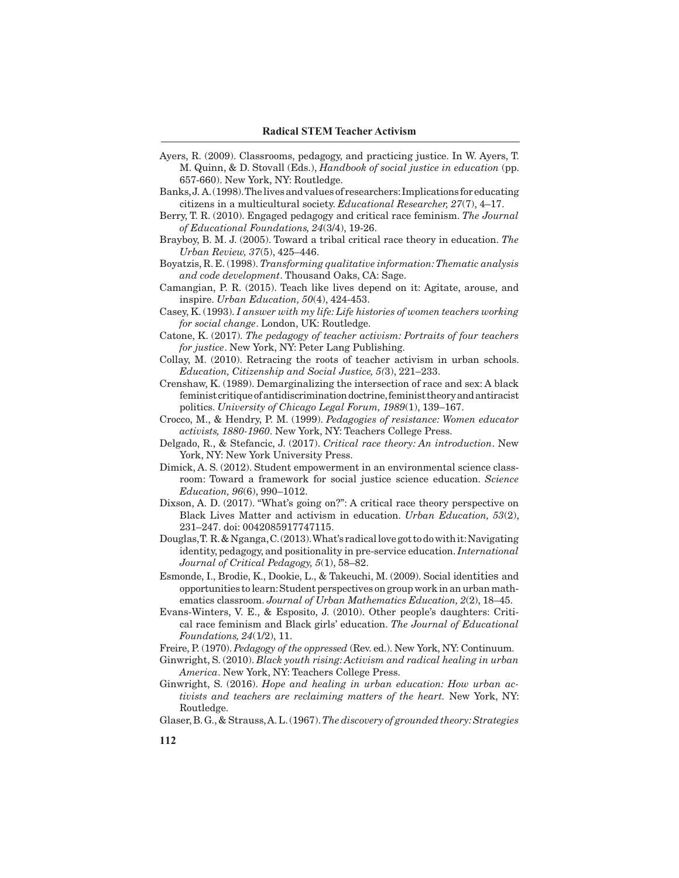- Ayers, R. (2009). Classrooms, pedagogy, and practicing justice. In W. Ayers, T. M. Quinn, & D. Stovall (Eds.), *Handbook of social justice in education* (pp. 657-660). New York, NY: Routledge.
- Banks, J. A. (1998). The lives and values of researchers: Implications for educating citizens in a multicultural society. *Educational Researcher, 27*(7), 4–17.
- Berry, T. R. (2010). Engaged pedagogy and critical race feminism. *The Journal of Educational Foundations, 24*(3/4), 19-26.
- Brayboy, B. M. J. (2005). Toward a tribal critical race theory in education. *The Urban Review, 37*(5), 425–446.
- Boyatzis, R. E. (1998). *Transforming qualitative information: Thematic analysis and code development*. Thousand Oaks, CA: Sage.
- Camangian, P. R. (2015). Teach like lives depend on it: Agitate, arouse, and inspire. *Urban Education, 50*(4), 424-453.
- Casey, K. (1993). *I answer with my life: Life histories of women teachers working for social change*. London, UK: Routledge.
- Catone, K. (2017). *The pedagogy of teacher activism: Portraits of four teachers for justice*. New York, NY: Peter Lang Publishing.
- Collay, M. (2010). Retracing the roots of teacher activism in urban schools. *Education, Citizenship and Social Justice, 5(*3), 221–233.
- Crenshaw, K. (1989). Demarginalizing the intersection of race and sex: A black feminist critique of antidiscrimination doctrine, feminist theory and antiracist politics. *University of Chicago Legal Forum, 1989*(1), 139–167.
- Crocco, M., & Hendry, P. M. (1999). *Pedagogies of resistance: Women educator activists, 1880-1960*. New York, NY: Teachers College Press.
- Delgado, R., & Stefancic, J. (2017). *Critical race theory: An introduction*. New York, NY: New York University Press.
- Dimick, A. S. (2012). Student empowerment in an environmental science classroom: Toward a framework for social justice science education. *Science Education, 96*(6), 990–1012.
- Dixson, A. D. (2017). "What's going on?": A critical race theory perspective on Black Lives Matter and activism in education. *Urban Education, 53*(2), 231–247. doi: 0042085917747115.
- Douglas, T. R. & Nganga, C. (2013). What's radical love got to do with it: Navigating identity, pedagogy, and positionality in pre-service education. *International Journal of Critical Pedagogy, 5*(1), 58–82.
- Esmonde, I., Brodie, K., Dookie, L., & Takeuchi, M. (2009). Social identities and opportunities to learn: Student perspectives on group work in an urban mathematics classroom. *Journal of Urban Mathematics Education, 2*(2), 18–45.
- Evans-Winters, V. E., & Esposito, J. (2010). Other people's daughters: Critical race feminism and Black girls' education. *The Journal of Educational Foundations, 24*(1/2), 11.
- Freire, P. (1970). *Pedagogy of the oppressed* (Rev. ed.). New York, NY: Continuum.
- Ginwright, S. (2010). *Black youth rising: Activism and radical healing in urban America*. New York, NY: Teachers College Press.
- Ginwright, S. (2016). *Hope and healing in urban education: How urban activists and teachers are reclaiming matters of the heart.* New York, NY: Routledge.
- Glaser, B. G., & Strauss, A. L. (1967). *The discovery of grounded theory: Strategies*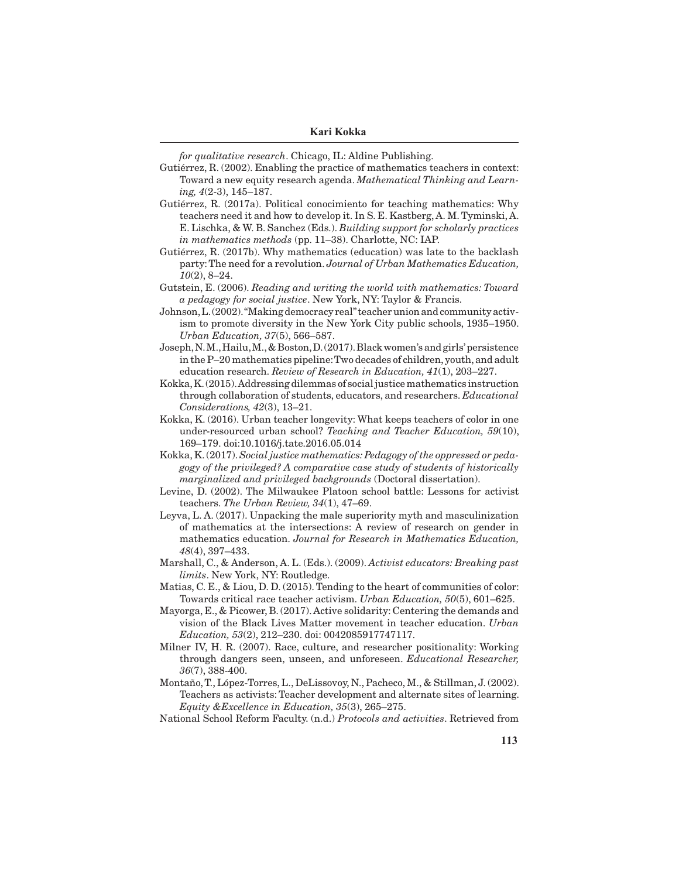**Kari Kokka**

*for qualitative research*. Chicago, IL: Aldine Publishing.

Gutiérrez, R. (2002). Enabling the practice of mathematics teachers in context: Toward a new equity research agenda. *Mathematical Thinking and Learning, 4*(2-3), 145–187.

- Gutiérrez, R. (2017a). Political conocimiento for teaching mathematics: Why teachers need it and how to develop it. In S. E. Kastberg, A. M. Tyminski, A. E. Lischka, & W. B. Sanchez (Eds.). *Building support for scholarly practices in mathematics methods* (pp. 11–38). Charlotte, NC: IAP.
- Gutiérrez, R. (2017b). Why mathematics (education) was late to the backlash party: The need for a revolution. *Journal of Urban Mathematics Education, 10*(2), 8–24.
- Gutstein, E. (2006). *Reading and writing the world with mathematics: Toward a pedagogy for social justice*. New York, NY: Taylor & Francis.
- Johnson, L. (2002). "Making democracy real" teacher union and community activism to promote diversity in the New York City public schools, 1935–1950. *Urban Education, 37*(5), 566–587.
- Joseph, N. M., Hailu, M., & Boston, D. (2017). Black women's and girls' persistence in the P–20 mathematics pipeline: Two decades of children, youth, and adult education research. *Review of Research in Education, 41*(1), 203–227.
- Kokka, K. (2015). Addressing dilemmas of social justice mathematics instruction through collaboration of students, educators, and researchers. *Educational Considerations, 42*(3), 13–21.
- Kokka, K. (2016). Urban teacher longevity: What keeps teachers of color in one under-resourced urban school? *Teaching and Teacher Education, 59*(10), 169–179. doi:10.1016/j.tate.2016.05.014
- Kokka, K. (2017). *Social justice mathematics: Pedagogy of the oppressed or pedagogy of the privileged? A comparative case study of students of historically marginalized and privileged backgrounds* (Doctoral dissertation).
- Levine, D. (2002). The Milwaukee Platoon school battle: Lessons for activist teachers. *The Urban Review, 34*(1), 47–69.
- Leyva, L. A. (2017). Unpacking the male superiority myth and masculinization of mathematics at the intersections: A review of research on gender in mathematics education. *Journal for Research in Mathematics Education, 48*(4), 397–433.
- Marshall, C., & Anderson, A. L. (Eds.). (2009). *Activist educators: Breaking past limits*. New York, NY: Routledge.
- Matias, C. E., & Liou, D. D. (2015). Tending to the heart of communities of color: Towards critical race teacher activism. *Urban Education, 50*(5), 601–625.
- Mayorga, E., & Picower, B. (2017). Active solidarity: Centering the demands and vision of the Black Lives Matter movement in teacher education. *Urban Education, 53*(2), 212–230. doi: 0042085917747117.
- Milner IV, H. R. (2007). Race, culture, and researcher positionality: Working through dangers seen, unseen, and unforeseen. *Educational Researcher, 36*(7), 388-400.
- Montaño, T., López-Torres, L., DeLissovoy, N., Pacheco, M., & Stillman, J. (2002). Teachers as activists: Teacher development and alternate sites of learning. *Equity &Excellence in Education, 35*(3), 265–275.

National School Reform Faculty. (n.d.) *Protocols and activities*. Retrieved from